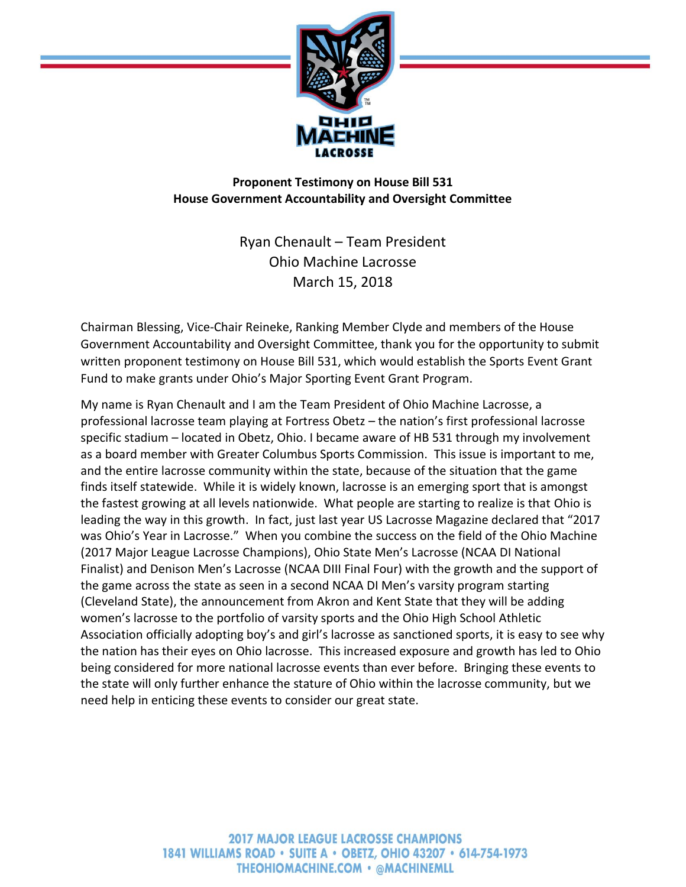

**Proponent Testimony on House Bill 531 House Government Accountability and Oversight Committee**

> Ryan Chenault – Team President Ohio Machine Lacrosse March 15, 2018

Chairman Blessing, Vice-Chair Reineke, Ranking Member Clyde and members of the House Government Accountability and Oversight Committee, thank you for the opportunity to submit written proponent testimony on House Bill 531, which would establish the Sports Event Grant Fund to make grants under Ohio's Major Sporting Event Grant Program.

My name is Ryan Chenault and I am the Team President of Ohio Machine Lacrosse, a professional lacrosse team playing at Fortress Obetz – the nation's first professional lacrosse specific stadium – located in Obetz, Ohio. I became aware of HB 531 through my involvement as a board member with Greater Columbus Sports Commission. This issue is important to me, and the entire lacrosse community within the state, because of the situation that the game finds itself statewide. While it is widely known, lacrosse is an emerging sport that is amongst the fastest growing at all levels nationwide. What people are starting to realize is that Ohio is leading the way in this growth. In fact, just last year US Lacrosse Magazine declared that "2017 was Ohio's Year in Lacrosse." When you combine the success on the field of the Ohio Machine (2017 Major League Lacrosse Champions), Ohio State Men's Lacrosse (NCAA DI National Finalist) and Denison Men's Lacrosse (NCAA DIII Final Four) with the growth and the support of the game across the state as seen in a second NCAA DI Men's varsity program starting (Cleveland State), the announcement from Akron and Kent State that they will be adding women's lacrosse to the portfolio of varsity sports and the Ohio High School Athletic Association officially adopting boy's and girl's lacrosse as sanctioned sports, it is easy to see why the nation has their eyes on Ohio lacrosse. This increased exposure and growth has led to Ohio being considered for more national lacrosse events than ever before. Bringing these events to the state will only further enhance the stature of Ohio within the lacrosse community, but we need help in enticing these events to consider our great state.

> **2017 MAJOR LEAGUE LACROSSE CHAMPIONS** 1841 WILLIAMS ROAD • SUITE A • OBETZ, OHIO 43207 • 614-754-1973 **THEOHIOMACHINE.COM • @MACHINEMLL**